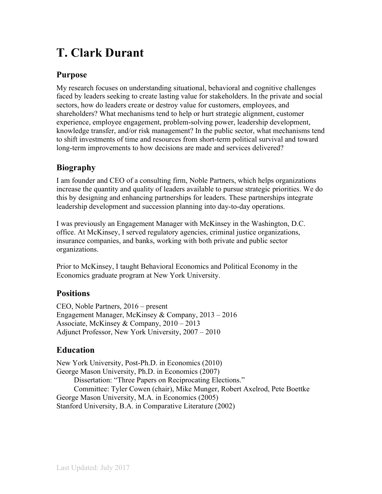# **T. Clark Durant**

## **Purpose**

My research focuses on understanding situational, behavioral and cognitive challenges faced by leaders seeking to create lasting value for stakeholders. In the private and social sectors, how do leaders create or destroy value for customers, employees, and shareholders? What mechanisms tend to help or hurt strategic alignment, customer experience, employee engagement, problem-solving power, leadership development, knowledge transfer, and/or risk management? In the public sector, what mechanisms tend to shift investments of time and resources from short-term political survival and toward long-term improvements to how decisions are made and services delivered?

# **Biography**

I am founder and CEO of a consulting firm, Noble Partners, which helps organizations increase the quantity and quality of leaders available to pursue strategic priorities. We do this by designing and enhancing partnerships for leaders. These partnerships integrate leadership development and succession planning into day-to-day operations.

I was previously an Engagement Manager with McKinsey in the Washington, D.C. office. At McKinsey, I served regulatory agencies, criminal justice organizations, insurance companies, and banks, working with both private and public sector organizations.

Prior to McKinsey, I taught Behavioral Economics and Political Economy in the Economics graduate program at New York University.

#### **Positions**

CEO, Noble Partners, 2016 – present Engagement Manager, McKinsey & Company, 2013 – 2016 Associate, McKinsey & Company, 2010 – 2013 Adjunct Professor, New York University, 2007 – 2010

#### **Education**

New York University, Post-Ph.D. in Economics (2010) George Mason University, Ph.D. in Economics (2007) Dissertation: "Three Papers on Reciprocating Elections." Committee: Tyler Cowen (chair), Mike Munger, Robert Axelrod, Pete Boettke George Mason University, M.A. in Economics (2005) Stanford University, B.A. in Comparative Literature (2002)